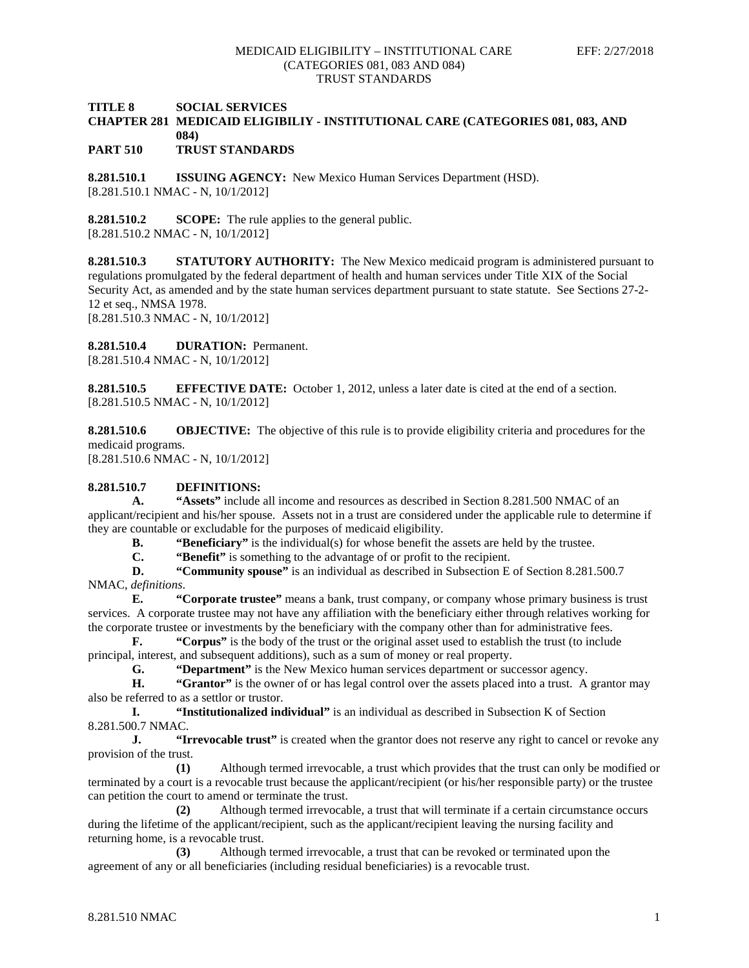### **TITLE 8 SOCIAL SERVICES CHAPTER 281 MEDICAID ELIGIBILIY - INSTITUTIONAL CARE (CATEGORIES 081, 083, AND 084)**

**PART 510 TRUST STANDARDS**

**8.281.510.1 ISSUING AGENCY:** New Mexico Human Services Department (HSD). [8.281.510.1 NMAC - N, 10/1/2012]

**8.281.510.2 SCOPE:** The rule applies to the general public. [8.281.510.2 NMAC - N, 10/1/2012]

**8.281.510.3 STATUTORY AUTHORITY:** The New Mexico medicaid program is administered pursuant to regulations promulgated by the federal department of health and human services under Title XIX of the Social Security Act, as amended and by the state human services department pursuant to state statute. See Sections 27-2- 12 et seq., NMSA 1978. [8.281.510.3 NMAC - N, 10/1/2012]

**8.281.510.4 DURATION:** Permanent.

[8.281.510.4 NMAC - N, 10/1/2012]

**8.281.510.5 EFFECTIVE DATE:** October 1, 2012, unless a later date is cited at the end of a section. [8.281.510.5 NMAC - N, 10/1/2012]

**8.281.510.6 OBJECTIVE:** The objective of this rule is to provide eligibility criteria and procedures for the medicaid programs.

[8.281.510.6 NMAC - N, 10/1/2012]

## **8.281.510.7 DEFINITIONS:**

**A. "Assets"** include all income and resources as described in Section 8.281.500 NMAC of an applicant/recipient and his/her spouse. Assets not in a trust are considered under the applicable rule to determine if they are countable or excludable for the purposes of medicaid eligibility.

**B. "Beneficiary"** is the individual(s) for whose benefit the assets are held by the trustee.

**C. "Benefit"** is something to the advantage of or profit to the recipient.<br>**D. "Community spouse"** is an individual as described in Subsection E.

**D. "Community spouse"** is an individual as described in Subsection E of Section 8.281.500.7 NMAC, *definitions*.

**E. "Corporate trustee"** means a bank, trust company, or company whose primary business is trust services. A corporate trustee may not have any affiliation with the beneficiary either through relatives working for the corporate trustee or investments by the beneficiary with the company other than for administrative fees.

**F. "Corpus"** is the body of the trust or the original asset used to establish the trust (to include principal, interest, and subsequent additions), such as a sum of money or real property.

**G. "Department"** is the New Mexico human services department or successor agency.

**H. "Grantor"** is the owner of or has legal control over the assets placed into a trust. A grantor may also be referred to as a settlor or trustor.

**I. "Institutionalized individual"** is an individual as described in Subsection K of Section 8.281.500.7 NMAC.

**J. "Irrevocable trust"** is created when the grantor does not reserve any right to cancel or revoke any provision of the trust.

**(1)** Although termed irrevocable, a trust which provides that the trust can only be modified or terminated by a court is a revocable trust because the applicant/recipient (or his/her responsible party) or the trustee can petition the court to amend or terminate the trust.

**(2)** Although termed irrevocable, a trust that will terminate if a certain circumstance occurs during the lifetime of the applicant/recipient, such as the applicant/recipient leaving the nursing facility and returning home, is a revocable trust.

**(3)** Although termed irrevocable, a trust that can be revoked or terminated upon the agreement of any or all beneficiaries (including residual beneficiaries) is a revocable trust.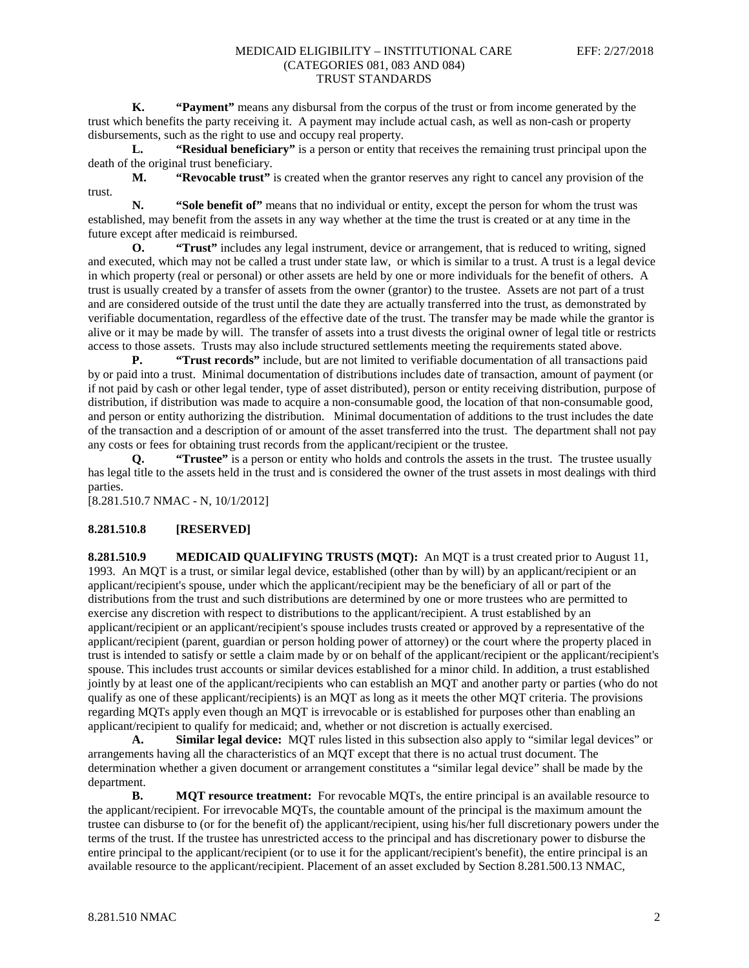**K. "Payment"** means any disbursal from the corpus of the trust or from income generated by the trust which benefits the party receiving it. A payment may include actual cash, as well as non-cash or property disbursements, such as the right to use and occupy real property.

**L. "Residual beneficiary"** is a person or entity that receives the remaining trust principal upon the death of the original trust beneficiary.

**M. "Revocable trust"** is created when the grantor reserves any right to cancel any provision of the trust.

**N. "Sole benefit of"** means that no individual or entity, except the person for whom the trust was established, may benefit from the assets in any way whether at the time the trust is created or at any time in the future except after medicaid is reimbursed.

**O. "Trust"** includes any legal instrument, device or arrangement, that is reduced to writing, signed and executed, which may not be called a trust under state law, or which is similar to a trust. A trust is a legal device in which property (real or personal) or other assets are held by one or more individuals for the benefit of others. A trust is usually created by a transfer of assets from the owner (grantor) to the trustee. Assets are not part of a trust and are considered outside of the trust until the date they are actually transferred into the trust, as demonstrated by verifiable documentation, regardless of the effective date of the trust. The transfer may be made while the grantor is alive or it may be made by will. The transfer of assets into a trust divests the original owner of legal title or restricts access to those assets. Trusts may also include structured settlements meeting the requirements stated above.

**P. "Trust records"** include, but are not limited to verifiable documentation of all transactions paid by or paid into a trust. Minimal documentation of distributions includes date of transaction, amount of payment (or if not paid by cash or other legal tender, type of asset distributed), person or entity receiving distribution, purpose of distribution, if distribution was made to acquire a non-consumable good, the location of that non-consumable good, and person or entity authorizing the distribution. Minimal documentation of additions to the trust includes the date of the transaction and a description of or amount of the asset transferred into the trust. The department shall not pay any costs or fees for obtaining trust records from the applicant/recipient or the trustee.

**Q. "Trustee"** is a person or entity who holds and controls the assets in the trust. The trustee usually has legal title to the assets held in the trust and is considered the owner of the trust assets in most dealings with third parties.

[8.281.510.7 NMAC - N, 10/1/2012]

#### **8.281.510.8 [RESERVED]**

**8.281.510.9 MEDICAID QUALIFYING TRUSTS (MQT):** An MQT is a trust created prior to August 11, 1993. An MQT is a trust, or similar legal device, established (other than by will) by an applicant/recipient or an applicant/recipient's spouse, under which the applicant/recipient may be the beneficiary of all or part of the distributions from the trust and such distributions are determined by one or more trustees who are permitted to exercise any discretion with respect to distributions to the applicant/recipient. A trust established by an applicant/recipient or an applicant/recipient's spouse includes trusts created or approved by a representative of the applicant/recipient (parent, guardian or person holding power of attorney) or the court where the property placed in trust is intended to satisfy or settle a claim made by or on behalf of the applicant/recipient or the applicant/recipient's spouse. This includes trust accounts or similar devices established for a minor child. In addition, a trust established jointly by at least one of the applicant/recipients who can establish an MQT and another party or parties (who do not qualify as one of these applicant/recipients) is an MQT as long as it meets the other MQT criteria. The provisions regarding MQTs apply even though an MQT is irrevocable or is established for purposes other than enabling an applicant/recipient to qualify for medicaid; and, whether or not discretion is actually exercised.

**A. Similar legal device:** MQT rules listed in this subsection also apply to "similar legal devices" or arrangements having all the characteristics of an MQT except that there is no actual trust document. The determination whether a given document or arrangement constitutes a "similar legal device" shall be made by the department.

**B. MOT resource treatment:** For revocable MOTs, the entire principal is an available resource to the applicant/recipient. For irrevocable MQTs, the countable amount of the principal is the maximum amount the trustee can disburse to (or for the benefit of) the applicant/recipient, using his/her full discretionary powers under the terms of the trust. If the trustee has unrestricted access to the principal and has discretionary power to disburse the entire principal to the applicant/recipient (or to use it for the applicant/recipient's benefit), the entire principal is an available resource to the applicant/recipient. Placement of an asset excluded by Section 8.281.500.13 NMAC,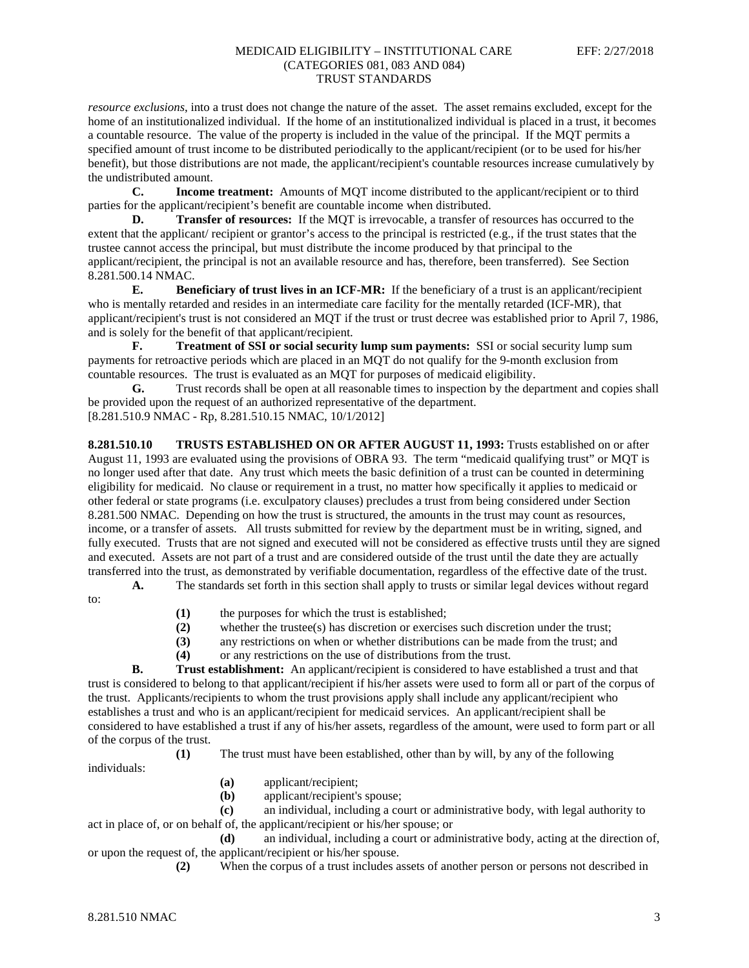*resource exclusions*, into a trust does not change the nature of the asset. The asset remains excluded, except for the home of an institutionalized individual. If the home of an institutionalized individual is placed in a trust, it becomes a countable resource. The value of the property is included in the value of the principal. If the MQT permits a specified amount of trust income to be distributed periodically to the applicant/recipient (or to be used for his/her benefit), but those distributions are not made, the applicant/recipient's countable resources increase cumulatively by the undistributed amount.

**C. Income treatment:** Amounts of MQT income distributed to the applicant/recipient or to third parties for the applicant/recipient's benefit are countable income when distributed.

**D. Transfer of resources:** If the MQT is irrevocable, a transfer of resources has occurred to the extent that the applicant/ recipient or grantor's access to the principal is restricted (e.g., if the trust states that the trustee cannot access the principal, but must distribute the income produced by that principal to the applicant/recipient, the principal is not an available resource and has, therefore, been transferred). See Section 8.281.500.14 NMAC.

**E. Beneficiary of trust lives in an ICF-MR:** If the beneficiary of a trust is an applicant/recipient who is mentally retarded and resides in an intermediate care facility for the mentally retarded (ICF-MR), that applicant/recipient's trust is not considered an MQT if the trust or trust decree was established prior to April 7, 1986, and is solely for the benefit of that applicant/recipient.

**F. Treatment of SSI or social security lump sum payments:** SSI or social security lump sum payments for retroactive periods which are placed in an MQT do not qualify for the 9-month exclusion from countable resources. The trust is evaluated as an MQT for purposes of medicaid eligibility.

**G.** Trust records shall be open at all reasonable times to inspection by the department and copies shall be provided upon the request of an authorized representative of the department.

[8.281.510.9 NMAC - Rp, 8.281.510.15 NMAC, 10/1/2012]

**8.281.510.10 TRUSTS ESTABLISHED ON OR AFTER AUGUST 11, 1993:** Trusts established on or after August 11, 1993 are evaluated using the provisions of OBRA 93. The term "medicaid qualifying trust" or MQT is no longer used after that date. Any trust which meets the basic definition of a trust can be counted in determining eligibility for medicaid. No clause or requirement in a trust, no matter how specifically it applies to medicaid or other federal or state programs (i.e. exculpatory clauses) precludes a trust from being considered under Section 8.281.500 NMAC. Depending on how the trust is structured, the amounts in the trust may count as resources, income, or a transfer of assets. All trusts submitted for review by the department must be in writing, signed, and fully executed. Trusts that are not signed and executed will not be considered as effective trusts until they are signed and executed. Assets are not part of a trust and are considered outside of the trust until the date they are actually transferred into the trust, as demonstrated by verifiable documentation, regardless of the effective date of the trust.

**A.** The standards set forth in this section shall apply to trusts or similar legal devices without regard

to:

- **(1)** the purposes for which the trust is established;
- **(2)** whether the trustee(s) has discretion or exercises such discretion under the trust;
- **(3)** any restrictions on when or whether distributions can be made from the trust; and
- **(4)** or any restrictions on the use of distributions from the trust.

**B. Trust establishment:** An applicant/recipient is considered to have established a trust and that trust is considered to belong to that applicant/recipient if his/her assets were used to form all or part of the corpus of the trust. Applicants/recipients to whom the trust provisions apply shall include any applicant/recipient who establishes a trust and who is an applicant/recipient for medicaid services. An applicant/recipient shall be considered to have established a trust if any of his/her assets, regardless of the amount, were used to form part or all of the corpus of the trust.

**(1)** The trust must have been established, other than by will, by any of the following individuals:

- **(a)** applicant/recipient;
- **(b)** applicant/recipient's spouse;

**(c)** an individual, including a court or administrative body, with legal authority to act in place of, or on behalf of, the applicant/recipient or his/her spouse; or

**(d)** an individual, including a court or administrative body, acting at the direction of, or upon the request of, the applicant/recipient or his/her spouse.

**(2)** When the corpus of a trust includes assets of another person or persons not described in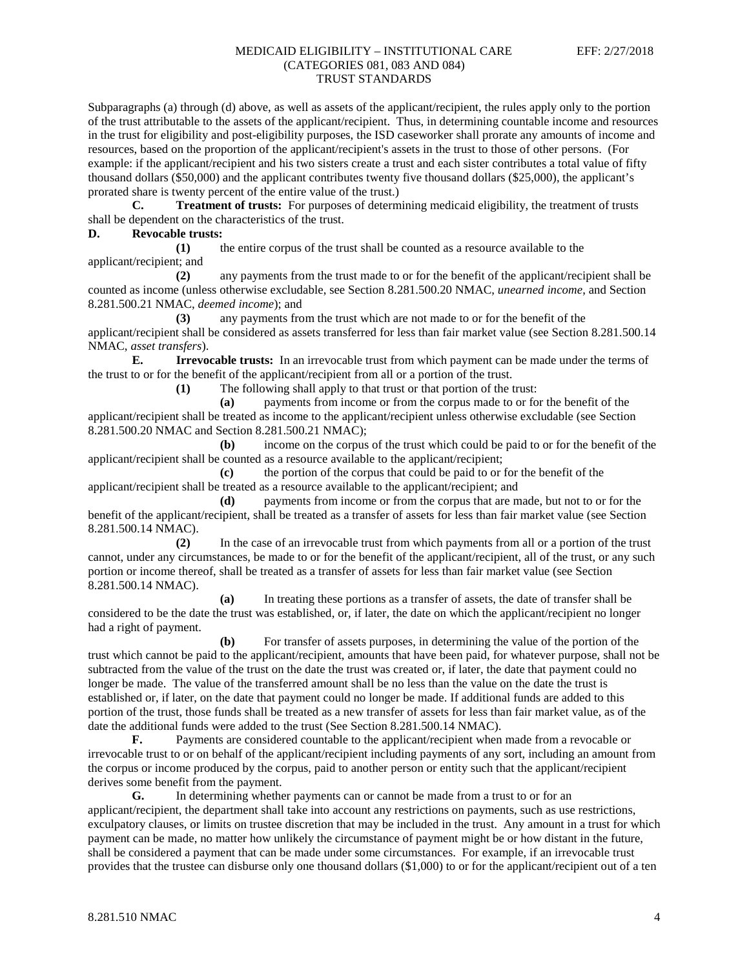Subparagraphs (a) through (d) above, as well as assets of the applicant/recipient, the rules apply only to the portion of the trust attributable to the assets of the applicant/recipient. Thus, in determining countable income and resources in the trust for eligibility and post-eligibility purposes, the ISD caseworker shall prorate any amounts of income and resources, based on the proportion of the applicant/recipient's assets in the trust to those of other persons. (For example: if the applicant/recipient and his two sisters create a trust and each sister contributes a total value of fifty thousand dollars (\$50,000) and the applicant contributes twenty five thousand dollars (\$25,000), the applicant's prorated share is twenty percent of the entire value of the trust.)

**C. Treatment of trusts:** For purposes of determining medicaid eligibility, the treatment of trusts shall be dependent on the characteristics of the trust.

#### **D. Revocable trusts:**

**(1)** the entire corpus of the trust shall be counted as a resource available to the applicant/recipient; and

**(2)** any payments from the trust made to or for the benefit of the applicant/recipient shall be counted as income (unless otherwise excludable, see Section 8.281.500.20 NMAC, *unearned income*, and Section 8.281.500.21 NMAC, *deemed income*); and

**(3)** any payments from the trust which are not made to or for the benefit of the applicant/recipient shall be considered as assets transferred for less than fair market value (see Section 8.281.500.14 NMAC, *asset transfers*).

**E. Irrevocable trusts:** In an irrevocable trust from which payment can be made under the terms of the trust to or for the benefit of the applicant/recipient from all or a portion of the trust.

**(1)** The following shall apply to that trust or that portion of the trust:

**(a)** payments from income or from the corpus made to or for the benefit of the applicant/recipient shall be treated as income to the applicant/recipient unless otherwise excludable (see Section 8.281.500.20 NMAC and Section 8.281.500.21 NMAC);

**(b)** income on the corpus of the trust which could be paid to or for the benefit of the applicant/recipient shall be counted as a resource available to the applicant/recipient;

**(c)** the portion of the corpus that could be paid to or for the benefit of the applicant/recipient shall be treated as a resource available to the applicant/recipient; and

**(d)** payments from income or from the corpus that are made, but not to or for the benefit of the applicant/recipient, shall be treated as a transfer of assets for less than fair market value (see Section 8.281.500.14 NMAC).

**(2)** In the case of an irrevocable trust from which payments from all or a portion of the trust cannot, under any circumstances, be made to or for the benefit of the applicant/recipient, all of the trust, or any such portion or income thereof, shall be treated as a transfer of assets for less than fair market value (see Section 8.281.500.14 NMAC).

**(a)** In treating these portions as a transfer of assets, the date of transfer shall be considered to be the date the trust was established, or, if later, the date on which the applicant/recipient no longer had a right of payment.

**(b)** For transfer of assets purposes, in determining the value of the portion of the trust which cannot be paid to the applicant/recipient, amounts that have been paid, for whatever purpose, shall not be subtracted from the value of the trust on the date the trust was created or, if later, the date that payment could no longer be made. The value of the transferred amount shall be no less than the value on the date the trust is established or, if later, on the date that payment could no longer be made. If additional funds are added to this portion of the trust, those funds shall be treated as a new transfer of assets for less than fair market value, as of the date the additional funds were added to the trust (See Section 8.281.500.14 NMAC).

**F.** Payments are considered countable to the applicant/recipient when made from a revocable or irrevocable trust to or on behalf of the applicant/recipient including payments of any sort, including an amount from the corpus or income produced by the corpus, paid to another person or entity such that the applicant/recipient derives some benefit from the payment.

**G.** In determining whether payments can or cannot be made from a trust to or for an applicant/recipient, the department shall take into account any restrictions on payments, such as use restrictions, exculpatory clauses, or limits on trustee discretion that may be included in the trust. Any amount in a trust for which payment can be made, no matter how unlikely the circumstance of payment might be or how distant in the future, shall be considered a payment that can be made under some circumstances. For example, if an irrevocable trust provides that the trustee can disburse only one thousand dollars (\$1,000) to or for the applicant/recipient out of a ten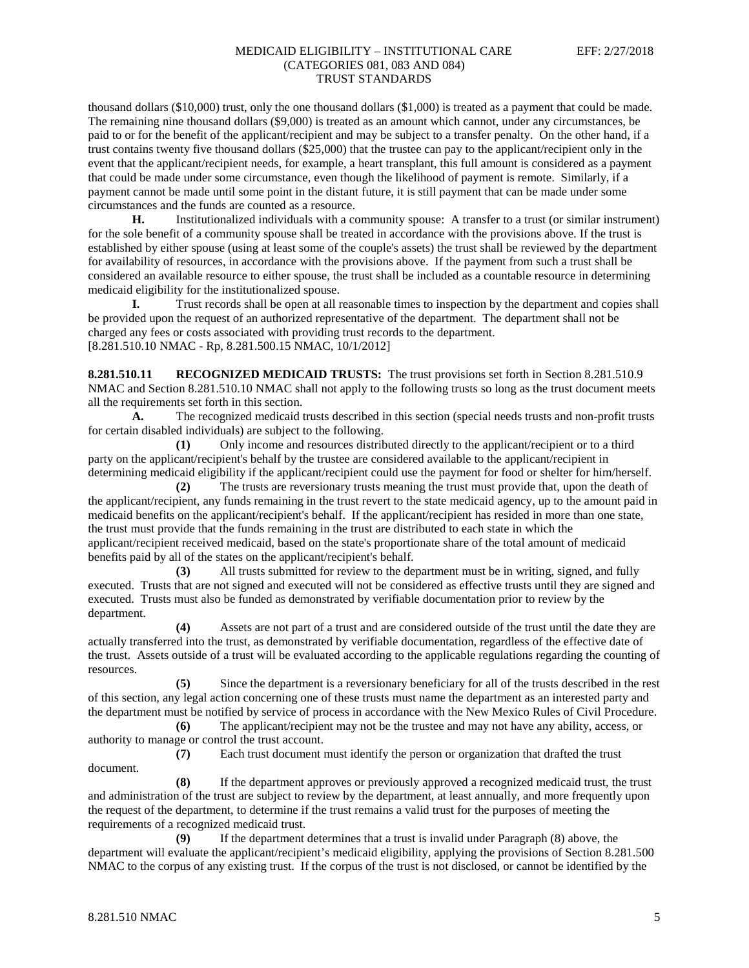thousand dollars (\$10,000) trust, only the one thousand dollars (\$1,000) is treated as a payment that could be made. The remaining nine thousand dollars (\$9,000) is treated as an amount which cannot, under any circumstances, be paid to or for the benefit of the applicant/recipient and may be subject to a transfer penalty. On the other hand, if a trust contains twenty five thousand dollars (\$25,000) that the trustee can pay to the applicant/recipient only in the event that the applicant/recipient needs, for example, a heart transplant, this full amount is considered as a payment that could be made under some circumstance, even though the likelihood of payment is remote. Similarly, if a payment cannot be made until some point in the distant future, it is still payment that can be made under some circumstances and the funds are counted as a resource.

**H.** Institutionalized individuals with a community spouse: A transfer to a trust (or similar instrument) for the sole benefit of a community spouse shall be treated in accordance with the provisions above. If the trust is established by either spouse (using at least some of the couple's assets) the trust shall be reviewed by the department for availability of resources, in accordance with the provisions above. If the payment from such a trust shall be considered an available resource to either spouse, the trust shall be included as a countable resource in determining medicaid eligibility for the institutionalized spouse.

**I.** Trust records shall be open at all reasonable times to inspection by the department and copies shall be provided upon the request of an authorized representative of the department. The department shall not be charged any fees or costs associated with providing trust records to the department. [8.281.510.10 NMAC - Rp, 8.281.500.15 NMAC, 10/1/2012]

**8.281.510.11 RECOGNIZED MEDICAID TRUSTS:** The trust provisions set forth in Section 8.281.510.9 NMAC and Section 8.281.510.10 NMAC shall not apply to the following trusts so long as the trust document meets all the requirements set forth in this section.

**A.** The recognized medicaid trusts described in this section (special needs trusts and non-profit trusts for certain disabled individuals) are subject to the following.

**(1)** Only income and resources distributed directly to the applicant/recipient or to a third party on the applicant/recipient's behalf by the trustee are considered available to the applicant/recipient in determining medicaid eligibility if the applicant/recipient could use the payment for food or shelter for him/herself.

**(2)** The trusts are reversionary trusts meaning the trust must provide that, upon the death of the applicant/recipient, any funds remaining in the trust revert to the state medicaid agency, up to the amount paid in medicaid benefits on the applicant/recipient's behalf. If the applicant/recipient has resided in more than one state, the trust must provide that the funds remaining in the trust are distributed to each state in which the applicant/recipient received medicaid, based on the state's proportionate share of the total amount of medicaid benefits paid by all of the states on the applicant/recipient's behalf.

**(3)** All trusts submitted for review to the department must be in writing, signed, and fully executed. Trusts that are not signed and executed will not be considered as effective trusts until they are signed and executed. Trusts must also be funded as demonstrated by verifiable documentation prior to review by the department.

**(4)** Assets are not part of a trust and are considered outside of the trust until the date they are actually transferred into the trust, as demonstrated by verifiable documentation, regardless of the effective date of the trust. Assets outside of a trust will be evaluated according to the applicable regulations regarding the counting of resources.

**(5)** Since the department is a reversionary beneficiary for all of the trusts described in the rest of this section, any legal action concerning one of these trusts must name the department as an interested party and the department must be notified by service of process in accordance with the New Mexico Rules of Civil Procedure.

**(6)** The applicant/recipient may not be the trustee and may not have any ability, access, or authority to manage or control the trust account.

**(7)** Each trust document must identify the person or organization that drafted the trust document.

**(8)** If the department approves or previously approved a recognized medicaid trust, the trust and administration of the trust are subject to review by the department, at least annually, and more frequently upon the request of the department, to determine if the trust remains a valid trust for the purposes of meeting the requirements of a recognized medicaid trust.

**(9)** If the department determines that a trust is invalid under Paragraph (8) above, the department will evaluate the applicant/recipient's medicaid eligibility, applying the provisions of Section 8.281.500 NMAC to the corpus of any existing trust. If the corpus of the trust is not disclosed, or cannot be identified by the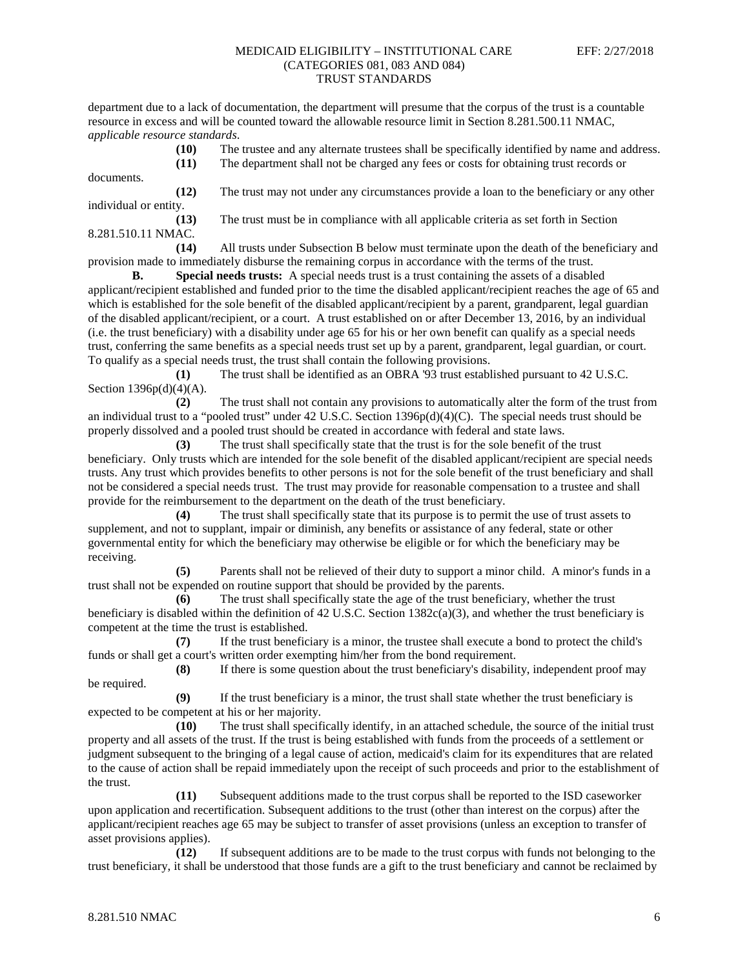department due to a lack of documentation, the department will presume that the corpus of the trust is a countable resource in excess and will be counted toward the allowable resource limit in Section 8.281.500.11 NMAC, *applicable resource standards*.

**(10)** The trustee and any alternate trustees shall be specifically identified by name and address.

**(11)** The department shall not be charged any fees or costs for obtaining trust records or

documents. **(12)** The trust may not under any circumstances provide a loan to the beneficiary or any other individual or entity.

**(13)** The trust must be in compliance with all applicable criteria as set forth in Section 8.281.510.11 NMAC.

**(14)** All trusts under Subsection B below must terminate upon the death of the beneficiary and provision made to immediately disburse the remaining corpus in accordance with the terms of the trust.<br> **B.** Special needs trusts: A special needs trust is a trust containing the assets of a disable

**Special needs trusts:** A special needs trust is a trust containing the assets of a disabled applicant/recipient established and funded prior to the time the disabled applicant/recipient reaches the age of 65 and which is established for the sole benefit of the disabled applicant/recipient by a parent, grandparent, legal guardian of the disabled applicant/recipient, or a court. A trust established on or after December 13, 2016, by an individual (i.e. the trust beneficiary) with a disability under age 65 for his or her own benefit can qualify as a special needs trust, conferring the same benefits as a special needs trust set up by a parent, grandparent, legal guardian, or court. To qualify as a special needs trust, the trust shall contain the following provisions.

**(1)** The trust shall be identified as an OBRA '93 trust established pursuant to 42 U.S.C. Section 1396p(d)(4)(A).

**(2)** The trust shall not contain any provisions to automatically alter the form of the trust from an individual trust to a "pooled trust" under 42 U.S.C. Section  $1396p(d)(4)(C)$ . The special needs trust should be properly dissolved and a pooled trust should be created in accordance with federal and state laws.

**(3)** The trust shall specifically state that the trust is for the sole benefit of the trust beneficiary. Only trusts which are intended for the sole benefit of the disabled applicant/recipient are special needs trusts. Any trust which provides benefits to other persons is not for the sole benefit of the trust beneficiary and shall not be considered a special needs trust. The trust may provide for reasonable compensation to a trustee and shall provide for the reimbursement to the department on the death of the trust beneficiary.

**(4)** The trust shall specifically state that its purpose is to permit the use of trust assets to supplement, and not to supplant, impair or diminish, any benefits or assistance of any federal, state or other governmental entity for which the beneficiary may otherwise be eligible or for which the beneficiary may be receiving.

**(5)** Parents shall not be relieved of their duty to support a minor child. A minor's funds in a trust shall not be expended on routine support that should be provided by the parents.

**(6)** The trust shall specifically state the age of the trust beneficiary, whether the trust beneficiary is disabled within the definition of 42 U.S.C. Section 1382c(a)(3), and whether the trust beneficiary is competent at the time the trust is established.

**(7)** If the trust beneficiary is a minor, the trustee shall execute a bond to protect the child's funds or shall get a court's written order exempting him/her from the bond requirement.

**(8)** If there is some question about the trust beneficiary's disability, independent proof may be required.

**(9)** If the trust beneficiary is a minor, the trust shall state whether the trust beneficiary is expected to be competent at his or her majority.

**(10)** The trust shall specifically identify, in an attached schedule, the source of the initial trust property and all assets of the trust. If the trust is being established with funds from the proceeds of a settlement or judgment subsequent to the bringing of a legal cause of action, medicaid's claim for its expenditures that are related to the cause of action shall be repaid immediately upon the receipt of such proceeds and prior to the establishment of the trust.

**(11)** Subsequent additions made to the trust corpus shall be reported to the ISD caseworker upon application and recertification. Subsequent additions to the trust (other than interest on the corpus) after the applicant/recipient reaches age 65 may be subject to transfer of asset provisions (unless an exception to transfer of asset provisions applies).

**(12)** If subsequent additions are to be made to the trust corpus with funds not belonging to the trust beneficiary, it shall be understood that those funds are a gift to the trust beneficiary and cannot be reclaimed by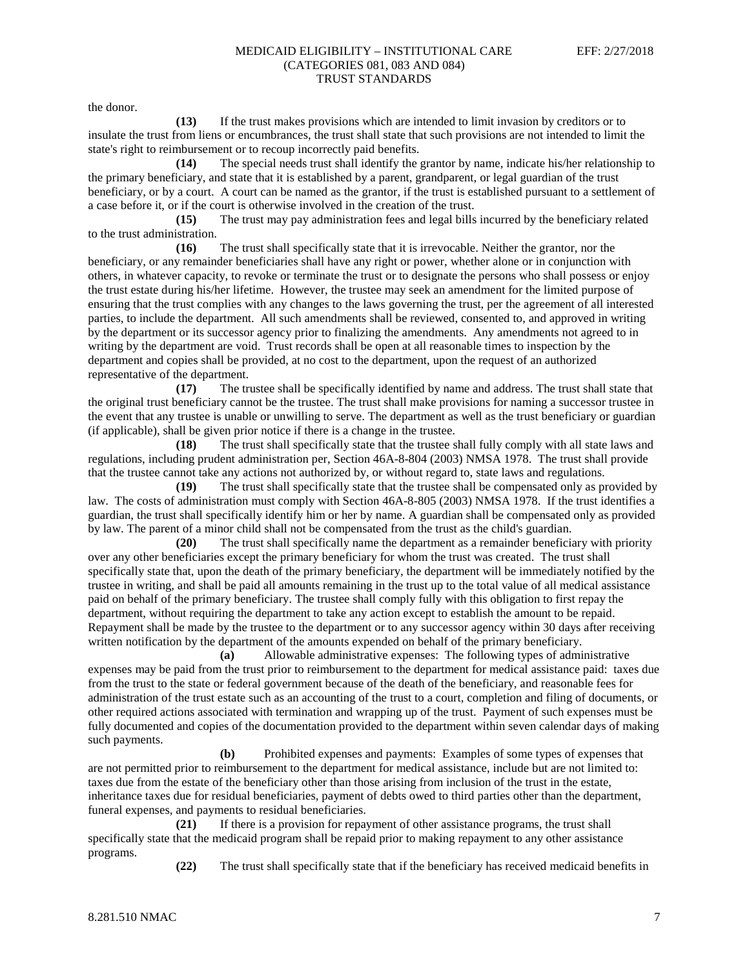the donor.

**(13)** If the trust makes provisions which are intended to limit invasion by creditors or to insulate the trust from liens or encumbrances, the trust shall state that such provisions are not intended to limit the state's right to reimbursement or to recoup incorrectly paid benefits.

**(14)** The special needs trust shall identify the grantor by name, indicate his/her relationship to the primary beneficiary, and state that it is established by a parent, grandparent, or legal guardian of the trust beneficiary, or by a court. A court can be named as the grantor, if the trust is established pursuant to a settlement of a case before it, or if the court is otherwise involved in the creation of the trust.

**(15)** The trust may pay administration fees and legal bills incurred by the beneficiary related to the trust administration.

**(16)** The trust shall specifically state that it is irrevocable. Neither the grantor, nor the beneficiary, or any remainder beneficiaries shall have any right or power, whether alone or in conjunction with others, in whatever capacity, to revoke or terminate the trust or to designate the persons who shall possess or enjoy the trust estate during his/her lifetime. However, the trustee may seek an amendment for the limited purpose of ensuring that the trust complies with any changes to the laws governing the trust, per the agreement of all interested parties, to include the department. All such amendments shall be reviewed, consented to, and approved in writing by the department or its successor agency prior to finalizing the amendments. Any amendments not agreed to in writing by the department are void. Trust records shall be open at all reasonable times to inspection by the department and copies shall be provided, at no cost to the department, upon the request of an authorized representative of the department.

**(17)** The trustee shall be specifically identified by name and address. The trust shall state that the original trust beneficiary cannot be the trustee. The trust shall make provisions for naming a successor trustee in the event that any trustee is unable or unwilling to serve. The department as well as the trust beneficiary or guardian (if applicable), shall be given prior notice if there is a change in the trustee.

**(18)** The trust shall specifically state that the trustee shall fully comply with all state laws and regulations, including prudent administration per, Section 46A-8-804 (2003) NMSA 1978. The trust shall provide that the trustee cannot take any actions not authorized by, or without regard to, state laws and regulations.

**(19)** The trust shall specifically state that the trustee shall be compensated only as provided by law. The costs of administration must comply with Section 46A-8-805 (2003) NMSA 1978. If the trust identifies a guardian, the trust shall specifically identify him or her by name. A guardian shall be compensated only as provided by law. The parent of a minor child shall not be compensated from the trust as the child's guardian.

**(20)** The trust shall specifically name the department as a remainder beneficiary with priority over any other beneficiaries except the primary beneficiary for whom the trust was created. The trust shall specifically state that, upon the death of the primary beneficiary, the department will be immediately notified by the trustee in writing, and shall be paid all amounts remaining in the trust up to the total value of all medical assistance paid on behalf of the primary beneficiary. The trustee shall comply fully with this obligation to first repay the department, without requiring the department to take any action except to establish the amount to be repaid. Repayment shall be made by the trustee to the department or to any successor agency within 30 days after receiving written notification by the department of the amounts expended on behalf of the primary beneficiary.

**(a)** Allowable administrative expenses: The following types of administrative expenses may be paid from the trust prior to reimbursement to the department for medical assistance paid: taxes due from the trust to the state or federal government because of the death of the beneficiary, and reasonable fees for administration of the trust estate such as an accounting of the trust to a court, completion and filing of documents, or other required actions associated with termination and wrapping up of the trust. Payment of such expenses must be fully documented and copies of the documentation provided to the department within seven calendar days of making such payments.

**(b)** Prohibited expenses and payments: Examples of some types of expenses that are not permitted prior to reimbursement to the department for medical assistance, include but are not limited to: taxes due from the estate of the beneficiary other than those arising from inclusion of the trust in the estate, inheritance taxes due for residual beneficiaries, payment of debts owed to third parties other than the department, funeral expenses, and payments to residual beneficiaries.

**(21)** If there is a provision for repayment of other assistance programs, the trust shall specifically state that the medicaid program shall be repaid prior to making repayment to any other assistance programs.

**(22)** The trust shall specifically state that if the beneficiary has received medicaid benefits in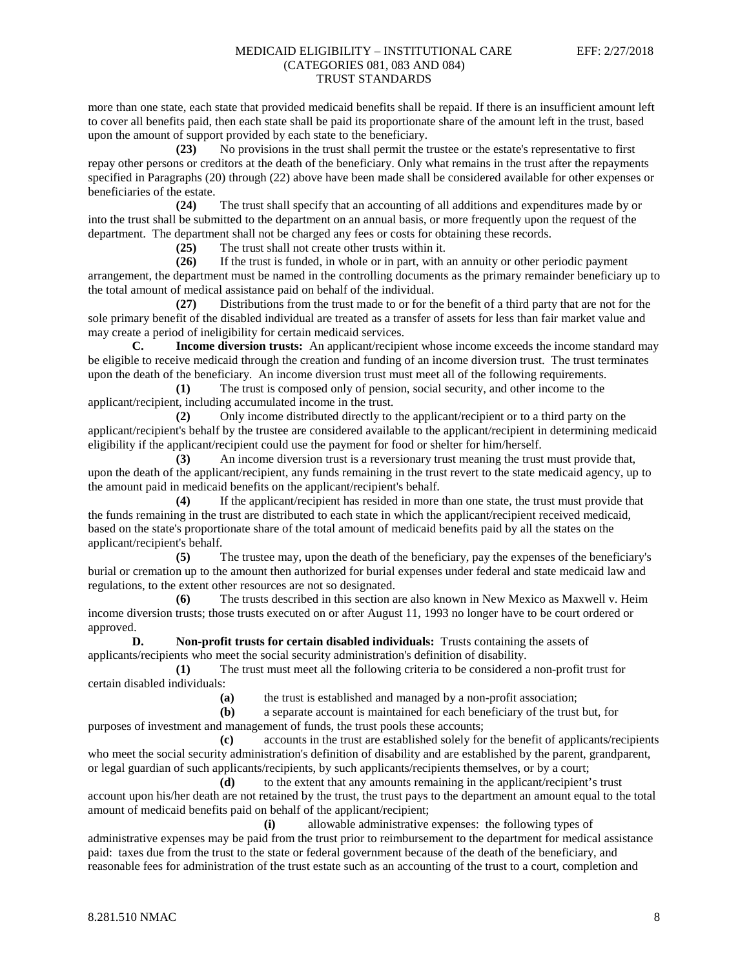more than one state, each state that provided medicaid benefits shall be repaid. If there is an insufficient amount left to cover all benefits paid, then each state shall be paid its proportionate share of the amount left in the trust, based upon the amount of support provided by each state to the beneficiary.

**(23)** No provisions in the trust shall permit the trustee or the estate's representative to first repay other persons or creditors at the death of the beneficiary. Only what remains in the trust after the repayments specified in Paragraphs (20) through (22) above have been made shall be considered available for other expenses or beneficiaries of the estate.

**(24)** The trust shall specify that an accounting of all additions and expenditures made by or into the trust shall be submitted to the department on an annual basis, or more frequently upon the request of the department. The department shall not be charged any fees or costs for obtaining these records.

**(25)** The trust shall not create other trusts within it.

**(26)** If the trust is funded, in whole or in part, with an annuity or other periodic payment arrangement, the department must be named in the controlling documents as the primary remainder beneficiary up to the total amount of medical assistance paid on behalf of the individual.

**(27)** Distributions from the trust made to or for the benefit of a third party that are not for the sole primary benefit of the disabled individual are treated as a transfer of assets for less than fair market value and may create a period of ineligibility for certain medicaid services.

**C. Income diversion trusts:** An applicant/recipient whose income exceeds the income standard may be eligible to receive medicaid through the creation and funding of an income diversion trust. The trust terminates upon the death of the beneficiary. An income diversion trust must meet all of the following requirements.

**(1)** The trust is composed only of pension, social security, and other income to the applicant/recipient, including accumulated income in the trust.

**(2)** Only income distributed directly to the applicant/recipient or to a third party on the applicant/recipient's behalf by the trustee are considered available to the applicant/recipient in determining medicaid eligibility if the applicant/recipient could use the payment for food or shelter for him/herself.

**(3)** An income diversion trust is a reversionary trust meaning the trust must provide that, upon the death of the applicant/recipient, any funds remaining in the trust revert to the state medicaid agency, up to the amount paid in medicaid benefits on the applicant/recipient's behalf.

**(4)** If the applicant/recipient has resided in more than one state, the trust must provide that the funds remaining in the trust are distributed to each state in which the applicant/recipient received medicaid, based on the state's proportionate share of the total amount of medicaid benefits paid by all the states on the applicant/recipient's behalf.

**(5)** The trustee may, upon the death of the beneficiary, pay the expenses of the beneficiary's burial or cremation up to the amount then authorized for burial expenses under federal and state medicaid law and regulations, to the extent other resources are not so designated.

**(6)** The trusts described in this section are also known in New Mexico as Maxwell v. Heim income diversion trusts; those trusts executed on or after August 11, 1993 no longer have to be court ordered or approved.

**D. Non-profit trusts for certain disabled individuals:** Trusts containing the assets of applicants/recipients who meet the social security administration's definition of disability.

**(1)** The trust must meet all the following criteria to be considered a non-profit trust for certain disabled individuals:

**(a)** the trust is established and managed by a non-profit association;

**(b)** a separate account is maintained for each beneficiary of the trust but, for purposes of investment and management of funds, the trust pools these accounts;

**(c)** accounts in the trust are established solely for the benefit of applicants/recipients who meet the social security administration's definition of disability and are established by the parent, grandparent, or legal guardian of such applicants/recipients, by such applicants/recipients themselves, or by a court;

**(d)** to the extent that any amounts remaining in the applicant/recipient's trust account upon his/her death are not retained by the trust, the trust pays to the department an amount equal to the total amount of medicaid benefits paid on behalf of the applicant/recipient;

**(i)** allowable administrative expenses: the following types of administrative expenses may be paid from the trust prior to reimbursement to the department for medical assistance paid: taxes due from the trust to the state or federal government because of the death of the beneficiary, and reasonable fees for administration of the trust estate such as an accounting of the trust to a court, completion and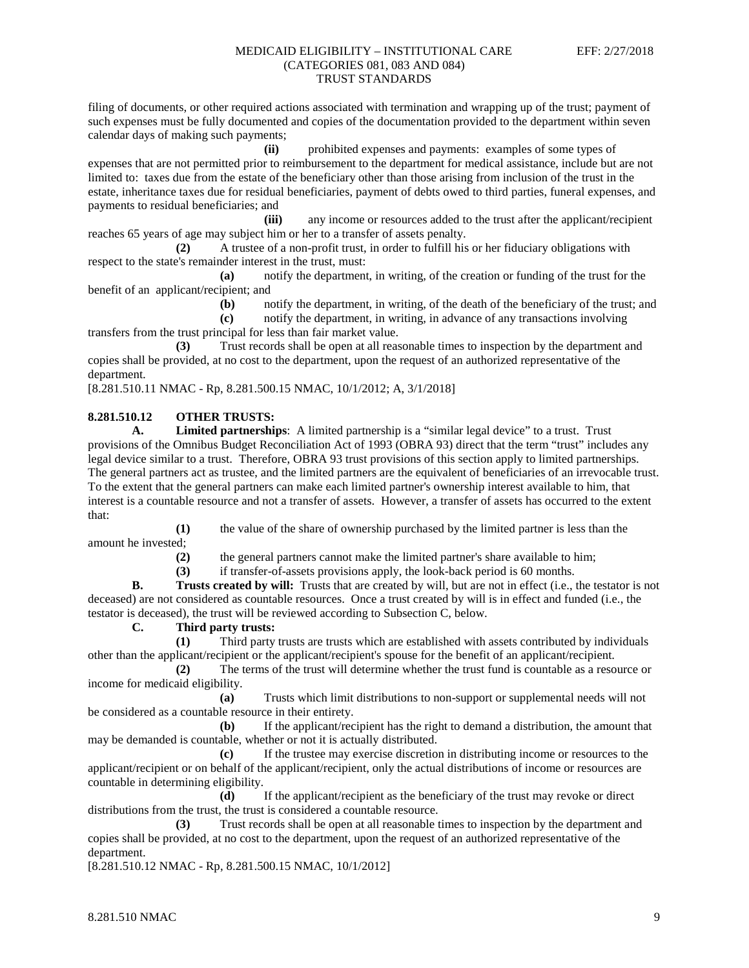filing of documents, or other required actions associated with termination and wrapping up of the trust; payment of such expenses must be fully documented and copies of the documentation provided to the department within seven calendar days of making such payments;

**(ii)** prohibited expenses and payments: examples of some types of expenses that are not permitted prior to reimbursement to the department for medical assistance, include but are not limited to: taxes due from the estate of the beneficiary other than those arising from inclusion of the trust in the estate, inheritance taxes due for residual beneficiaries, payment of debts owed to third parties, funeral expenses, and payments to residual beneficiaries; and

**(iii)** any income or resources added to the trust after the applicant/recipient reaches 65 years of age may subject him or her to a transfer of assets penalty.

**(2)** A trustee of a non-profit trust, in order to fulfill his or her fiduciary obligations with respect to the state's remainder interest in the trust, must:

**(a)** notify the department, in writing, of the creation or funding of the trust for the benefit of an applicant/recipient; and

**(b)** notify the department, in writing, of the death of the beneficiary of the trust; and

**(c)** notify the department, in writing, in advance of any transactions involving transfers from the trust principal for less than fair market value.

**(3)** Trust records shall be open at all reasonable times to inspection by the department and copies shall be provided, at no cost to the department, upon the request of an authorized representative of the department.

[8.281.510.11 NMAC - Rp, 8.281.500.15 NMAC, 10/1/2012; A, 3/1/2018]

# **8.281.510.12 OTHER TRUSTS:**

**A. Limited partnerships**: A limited partnership is a "similar legal device" to a trust. Trust provisions of the Omnibus Budget Reconciliation Act of 1993 (OBRA 93) direct that the term "trust" includes any legal device similar to a trust. Therefore, OBRA 93 trust provisions of this section apply to limited partnerships. The general partners act as trustee, and the limited partners are the equivalent of beneficiaries of an irrevocable trust. To the extent that the general partners can make each limited partner's ownership interest available to him, that interest is a countable resource and not a transfer of assets. However, a transfer of assets has occurred to the extent that:

**(1)** the value of the share of ownership purchased by the limited partner is less than the amount he invested;

**(2)** the general partners cannot make the limited partner's share available to him;

**(3)** if transfer-of-assets provisions apply, the look-back period is 60 months.

**B. Trusts created by will:** Trusts that are created by will, but are not in effect (i.e., the testator is not deceased) are not considered as countable resources. Once a trust created by will is in effect and funded (i.e., the testator is deceased), the trust will be reviewed according to Subsection C, below.

## **C. Third party trusts:**

**(1)** Third party trusts are trusts which are established with assets contributed by individuals other than the applicant/recipient or the applicant/recipient's spouse for the benefit of an applicant/recipient.

**(2)** The terms of the trust will determine whether the trust fund is countable as a resource or income for medicaid eligibility.

**(a)** Trusts which limit distributions to non-support or supplemental needs will not be considered as a countable resource in their entirety.

**(b)** If the applicant/recipient has the right to demand a distribution, the amount that may be demanded is countable, whether or not it is actually distributed.

**(c)** If the trustee may exercise discretion in distributing income or resources to the applicant/recipient or on behalf of the applicant/recipient, only the actual distributions of income or resources are countable in determining eligibility.

**(d)** If the applicant/recipient as the beneficiary of the trust may revoke or direct distributions from the trust, the trust is considered a countable resource.

**(3)** Trust records shall be open at all reasonable times to inspection by the department and copies shall be provided, at no cost to the department, upon the request of an authorized representative of the department.

[8.281.510.12 NMAC - Rp, 8.281.500.15 NMAC, 10/1/2012]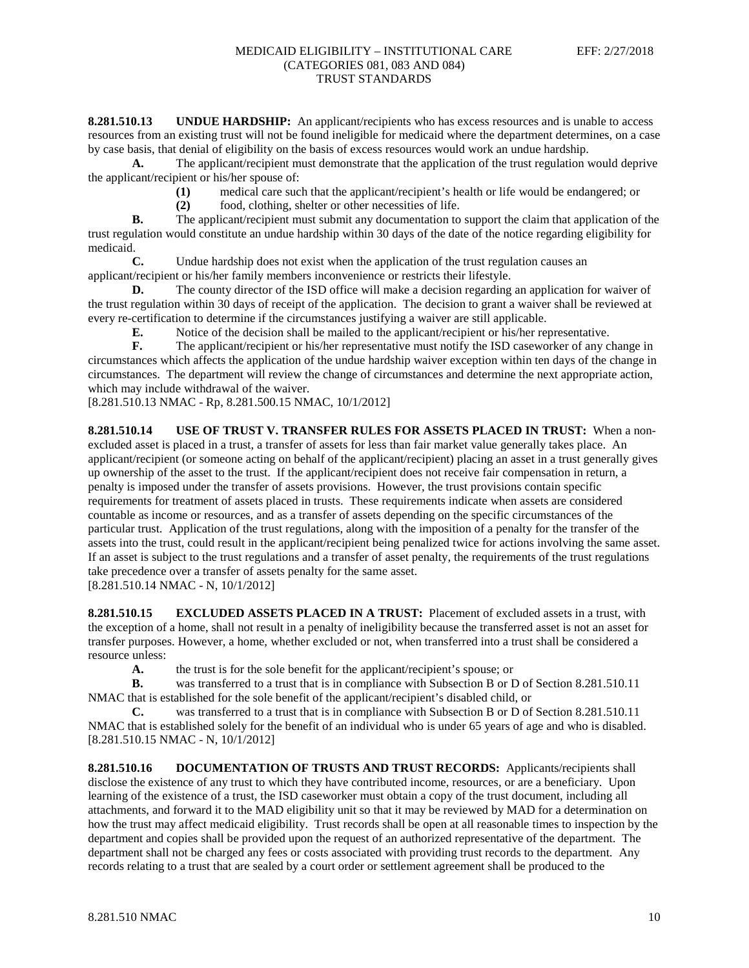**8.281.510.13 UNDUE HARDSHIP:** An applicant/recipients who has excess resources and is unable to access resources from an existing trust will not be found ineligible for medicaid where the department determines, on a case by case basis, that denial of eligibility on the basis of excess resources would work an undue hardship.

**A.** The applicant/recipient must demonstrate that the application of the trust regulation would deprive the applicant/recipient or his/her spouse of:

**(1)** medical care such that the applicant/recipient's health or life would be endangered; or

**(2)** food, clothing, shelter or other necessities of life.

**B.** The applicant/recipient must submit any documentation to support the claim that application of the trust regulation would constitute an undue hardship within 30 days of the date of the notice regarding eligibility for medicaid.

**C.** Undue hardship does not exist when the application of the trust regulation causes an applicant/recipient or his/her family members inconvenience or restricts their lifestyle.

**D.** The county director of the ISD office will make a decision regarding an application for waiver of the trust regulation within 30 days of receipt of the application. The decision to grant a waiver shall be reviewed at every re-certification to determine if the circumstances justifying a waiver are still applicable.

**E.** Notice of the decision shall be mailed to the applicant/recipient or his/her representative.

**F.** The applicant/recipient or his/her representative must notify the ISD caseworker of any change in circumstances which affects the application of the undue hardship waiver exception within ten days of the change in circumstances. The department will review the change of circumstances and determine the next appropriate action, which may include withdrawal of the waiver.

[8.281.510.13 NMAC - Rp, 8.281.500.15 NMAC, 10/1/2012]

**8.281.510.14 USE OF TRUST V. TRANSFER RULES FOR ASSETS PLACED IN TRUST:** When a nonexcluded asset is placed in a trust, a transfer of assets for less than fair market value generally takes place. An applicant/recipient (or someone acting on behalf of the applicant/recipient) placing an asset in a trust generally gives up ownership of the asset to the trust. If the applicant/recipient does not receive fair compensation in return, a penalty is imposed under the transfer of assets provisions. However, the trust provisions contain specific requirements for treatment of assets placed in trusts. These requirements indicate when assets are considered countable as income or resources, and as a transfer of assets depending on the specific circumstances of the particular trust. Application of the trust regulations, along with the imposition of a penalty for the transfer of the assets into the trust, could result in the applicant/recipient being penalized twice for actions involving the same asset. If an asset is subject to the trust regulations and a transfer of asset penalty, the requirements of the trust regulations take precedence over a transfer of assets penalty for the same asset. [8.281.510.14 NMAC - N, 10/1/2012]

**8.281.510.15 EXCLUDED ASSETS PLACED IN A TRUST:** Placement of excluded assets in a trust, with the exception of a home, shall not result in a penalty of ineligibility because the transferred asset is not an asset for transfer purposes. However, a home, whether excluded or not, when transferred into a trust shall be considered a resource unless:

**A.** the trust is for the sole benefit for the applicant/recipient's spouse; or

**B.** was transferred to a trust that is in compliance with Subsection B or D of Section 8.281.510.11 NMAC that is established for the sole benefit of the applicant/recipient's disabled child, or

**C.** was transferred to a trust that is in compliance with Subsection B or D of Section 8.281.510.11 NMAC that is established solely for the benefit of an individual who is under 65 years of age and who is disabled. [8.281.510.15 NMAC - N, 10/1/2012]

**8.281.510.16 DOCUMENTATION OF TRUSTS AND TRUST RECORDS:** Applicants/recipients shall disclose the existence of any trust to which they have contributed income, resources, or are a beneficiary. Upon learning of the existence of a trust, the ISD caseworker must obtain a copy of the trust document, including all attachments, and forward it to the MAD eligibility unit so that it may be reviewed by MAD for a determination on how the trust may affect medicaid eligibility. Trust records shall be open at all reasonable times to inspection by the department and copies shall be provided upon the request of an authorized representative of the department. The department shall not be charged any fees or costs associated with providing trust records to the department. Any records relating to a trust that are sealed by a court order or settlement agreement shall be produced to the